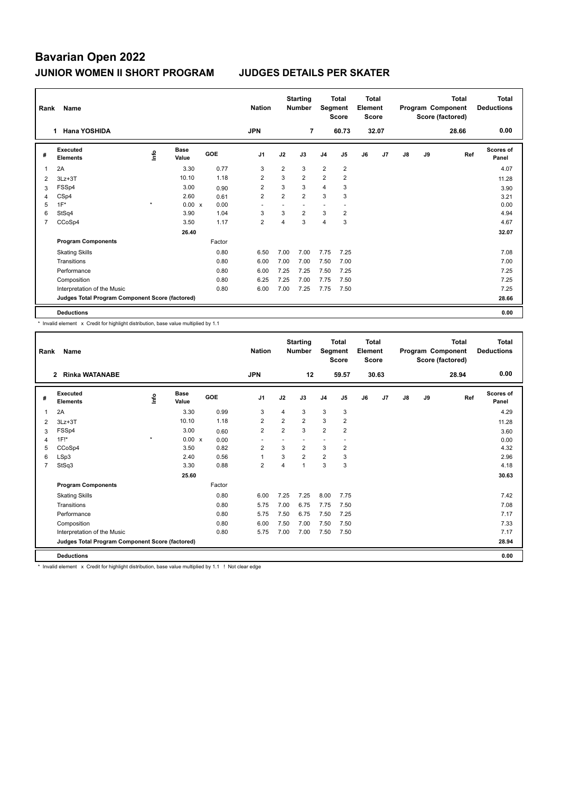| Rank | Name                                            |         | <b>Nation</b>        |        | <b>Starting</b><br><b>Number</b> | Segment        | Total<br><b>Score</b> | Total<br>Element<br><b>Score</b> |                          |    |       | <b>Total</b><br>Program Component<br>Score (factored) | <b>Total</b><br><b>Deductions</b> |       |                    |
|------|-------------------------------------------------|---------|----------------------|--------|----------------------------------|----------------|-----------------------|----------------------------------|--------------------------|----|-------|-------------------------------------------------------|-----------------------------------|-------|--------------------|
|      | Hana YOSHIDA<br>1.                              |         |                      |        | <b>JPN</b>                       |                | $\overline{7}$        |                                  | 60.73                    |    | 32.07 |                                                       |                                   | 28.66 | 0.00               |
| #    | Executed<br><b>Elements</b>                     | ۴       | <b>Base</b><br>Value | GOE    | J <sub>1</sub>                   | J2             | J3                    | J <sub>4</sub>                   | J <sub>5</sub>           | J6 | J7    | $\mathsf{J}8$                                         | J9                                | Ref   | Scores of<br>Panel |
|      | 2A                                              |         | 3.30                 | 0.77   | 3                                | $\overline{2}$ | 3                     | $\overline{2}$                   | $\overline{2}$           |    |       |                                                       |                                   |       | 4.07               |
| 2    | $3Lz + 3T$                                      |         | 10.10                | 1.18   | 2                                | 3              | $\overline{2}$        | $\overline{2}$                   | $\overline{2}$           |    |       |                                                       |                                   |       | 11.28              |
| 3    | FSSp4                                           |         | 3.00                 | 0.90   | 2                                | 3              | 3                     | $\overline{4}$                   | 3                        |    |       |                                                       |                                   |       | 3.90               |
| 4    | CSp4                                            |         | 2.60                 | 0.61   | $\overline{2}$                   | $\overline{2}$ | $\overline{2}$        | 3                                | 3                        |    |       |                                                       |                                   |       | 3.21               |
| 5    | $1F^*$                                          | $\star$ | $0.00 \times$        | 0.00   |                                  |                |                       | $\overline{\phantom{a}}$         | $\overline{\phantom{a}}$ |    |       |                                                       |                                   |       | 0.00               |
| 6    | StSq4                                           |         | 3.90                 | 1.04   | 3                                | 3              | $\overline{2}$        | 3                                | $\overline{2}$           |    |       |                                                       |                                   |       | 4.94               |
| 7    | CCoSp4                                          |         | 3.50                 | 1.17   | $\overline{2}$                   | 4              | 3                     | $\overline{4}$                   | 3                        |    |       |                                                       |                                   |       | 4.67               |
|      |                                                 |         | 26.40                |        |                                  |                |                       |                                  |                          |    |       |                                                       |                                   |       | 32.07              |
|      | <b>Program Components</b>                       |         |                      | Factor |                                  |                |                       |                                  |                          |    |       |                                                       |                                   |       |                    |
|      | <b>Skating Skills</b>                           |         |                      | 0.80   | 6.50                             | 7.00           | 7.00                  | 7.75                             | 7.25                     |    |       |                                                       |                                   |       | 7.08               |
|      | Transitions                                     |         |                      | 0.80   | 6.00                             | 7.00           | 7.00                  | 7.50                             | 7.00                     |    |       |                                                       |                                   |       | 7.00               |
|      | Performance                                     |         |                      | 0.80   | 6.00                             | 7.25           | 7.25                  | 7.50                             | 7.25                     |    |       |                                                       |                                   |       | 7.25               |
|      | Composition                                     |         |                      | 0.80   | 6.25                             | 7.25           | 7.00                  | 7.75                             | 7.50                     |    |       |                                                       |                                   |       | 7.25               |
|      | Interpretation of the Music                     |         |                      | 0.80   | 6.00                             | 7.00           | 7.25                  | 7.75                             | 7.50                     |    |       |                                                       |                                   |       | 7.25               |
|      | Judges Total Program Component Score (factored) |         |                      |        |                                  |                |                       |                                  |                          |    |       |                                                       |                                   |       | 28.66              |
|      | <b>Deductions</b>                               |         |                      |        |                                  |                |                       |                                  |                          |    |       |                                                       |                                   |       | 0.00               |

\* Invalid element x Credit for highlight distribution, base value multiplied by 1.1

| Rank           | Name                                            |         |                      |        | <b>Nation</b>  |                | <b>Starting</b><br><b>Number</b> | Segment        | <b>Total</b><br><b>Score</b> | Total<br>Element<br><b>Score</b> |       |               |    | <b>Total</b><br>Program Component<br>Score (factored) | <b>Total</b><br><b>Deductions</b> |
|----------------|-------------------------------------------------|---------|----------------------|--------|----------------|----------------|----------------------------------|----------------|------------------------------|----------------------------------|-------|---------------|----|-------------------------------------------------------|-----------------------------------|
|                | <b>Rinka WATANABE</b><br>$\overline{2}$         |         |                      |        | <b>JPN</b>     |                | 12                               |                | 59.57                        |                                  | 30.63 |               |    | 28.94                                                 | 0.00                              |
| #              | Executed<br><b>Elements</b>                     | ١nf٥    | <b>Base</b><br>Value | GOE    | J <sub>1</sub> | J2             | J3                               | J <sub>4</sub> | J <sub>5</sub>               | J6                               | J7    | $\mathsf{J}8$ | J9 | Ref                                                   | <b>Scores of</b><br>Panel         |
| 1              | 2A                                              |         | 3.30                 | 0.99   | 3              | 4              | 3                                | 3              | 3                            |                                  |       |               |    |                                                       | 4.29                              |
| 2              | $3Lz + 3T$                                      |         | 10.10                | 1.18   | $\overline{2}$ | $\overline{2}$ | $\overline{2}$                   | 3              | $\overline{2}$               |                                  |       |               |    |                                                       | 11.28                             |
| 3              | FSSp4                                           |         | 3.00                 | 0.60   | $\overline{2}$ | $\overline{2}$ | 3                                | $\overline{2}$ | $\overline{2}$               |                                  |       |               |    |                                                       | 3.60                              |
| $\overline{4}$ | $1F!^*$                                         | $\star$ | 0.00 x               | 0.00   |                |                |                                  | ٠              |                              |                                  |       |               |    |                                                       | 0.00                              |
| 5              | CCoSp4                                          |         | 3.50                 | 0.82   | $\overline{2}$ | 3              | $\overline{2}$                   | 3              | $\overline{2}$               |                                  |       |               |    |                                                       | 4.32                              |
| 6              | LSp3                                            |         | 2.40                 | 0.56   | 1              | 3              | $\overline{2}$                   | 2              | 3                            |                                  |       |               |    |                                                       | 2.96                              |
| $\overline{7}$ | StSq3                                           |         | 3.30                 | 0.88   | $\overline{2}$ | $\overline{4}$ | $\overline{1}$                   | 3              | 3                            |                                  |       |               |    |                                                       | 4.18                              |
|                |                                                 |         | 25.60                |        |                |                |                                  |                |                              |                                  |       |               |    |                                                       | 30.63                             |
|                | <b>Program Components</b>                       |         |                      | Factor |                |                |                                  |                |                              |                                  |       |               |    |                                                       |                                   |
|                | <b>Skating Skills</b>                           |         |                      | 0.80   | 6.00           | 7.25           | 7.25                             | 8.00           | 7.75                         |                                  |       |               |    |                                                       | 7.42                              |
|                | Transitions                                     |         |                      | 0.80   | 5.75           | 7.00           | 6.75                             | 7.75           | 7.50                         |                                  |       |               |    |                                                       | 7.08                              |
|                | Performance                                     |         |                      | 0.80   | 5.75           | 7.50           | 6.75                             | 7.50           | 7.25                         |                                  |       |               |    |                                                       | 7.17                              |
|                | Composition                                     |         |                      | 0.80   | 6.00           | 7.50           | 7.00                             | 7.50           | 7.50                         |                                  |       |               |    |                                                       | 7.33                              |
|                | Interpretation of the Music                     |         |                      | 0.80   | 5.75           | 7.00           | 7.00                             | 7.50           | 7.50                         |                                  |       |               |    |                                                       | 7.17                              |
|                | Judges Total Program Component Score (factored) |         |                      |        |                |                |                                  |                |                              |                                  |       |               |    |                                                       | 28.94                             |
|                | <b>Deductions</b>                               |         |                      |        |                |                |                                  |                |                              |                                  |       |               |    |                                                       | 0.00                              |

\* Invalid element x Credit for highlight distribution, base value multiplied by 1.1 ! Not clear edge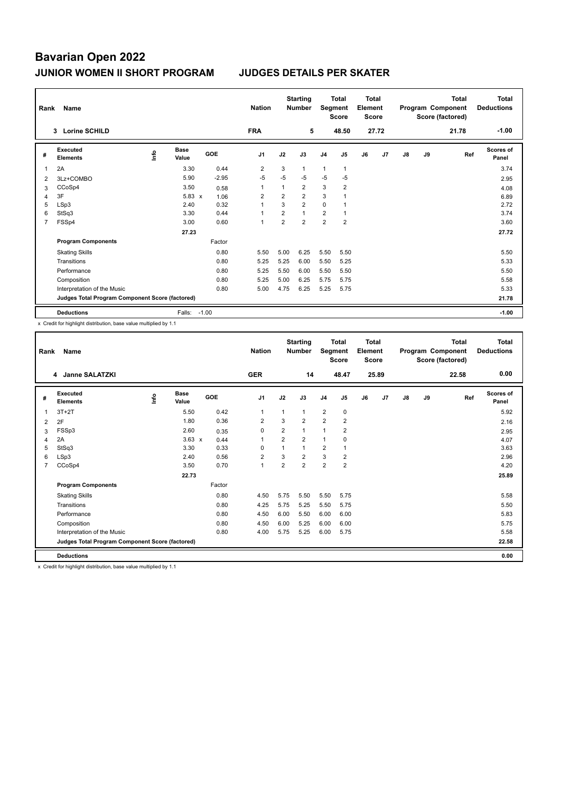| Rank           | Name                                            |    |                      |            |         | <b>Nation</b>  |                | <b>Starting</b><br><b>Number</b> | Segment        | <b>Total</b><br><b>Score</b> | <b>Total</b><br>Element<br><b>Score</b> |       |    |    | <b>Total</b><br>Program Component<br>Score (factored) | Total<br><b>Deductions</b> |
|----------------|-------------------------------------------------|----|----------------------|------------|---------|----------------|----------------|----------------------------------|----------------|------------------------------|-----------------------------------------|-------|----|----|-------------------------------------------------------|----------------------------|
|                | <b>Lorine SCHILD</b><br>3                       |    |                      |            |         | <b>FRA</b>     |                | 5                                |                | 48.50                        |                                         | 27.72 |    |    | 21.78                                                 | $-1.00$                    |
| #              | <b>Executed</b><br><b>Elements</b>              | ۴ů | <b>Base</b><br>Value | <b>GOE</b> |         | J <sub>1</sub> | J2             | J3                               | J <sub>4</sub> | J5                           | J6                                      | J7    | J8 | J9 | Ref                                                   | <b>Scores of</b><br>Panel  |
| 1              | 2A                                              |    | 3.30                 |            | 0.44    | 2              | 3              | 1                                | 1              | $\mathbf{1}$                 |                                         |       |    |    |                                                       | 3.74                       |
| 2              | 3Lz+COMBO                                       |    | 5.90                 |            | $-2.95$ | $-5$           | $-5$           | $-5$                             | $-5$           | $-5$                         |                                         |       |    |    |                                                       | 2.95                       |
| 3              | CCoSp4                                          |    | 3.50                 |            | 0.58    | $\overline{1}$ | 1              | $\overline{2}$                   | 3              | $\overline{2}$               |                                         |       |    |    |                                                       | 4.08                       |
| 4              | 3F                                              |    | $5.83 \times$        |            | 1.06    | 2              | $\overline{2}$ | $\overline{2}$                   | 3              |                              |                                         |       |    |    |                                                       | 6.89                       |
| 5              | LSp3                                            |    | 2.40                 |            | 0.32    | $\overline{1}$ | 3              | $\overline{2}$                   | 0              |                              |                                         |       |    |    |                                                       | 2.72                       |
| 6              | StSq3                                           |    | 3.30                 |            | 0.44    | $\overline{1}$ | $\overline{2}$ | $\mathbf{1}$                     | 2              | $\mathbf{1}$                 |                                         |       |    |    |                                                       | 3.74                       |
| $\overline{7}$ | FSSp4                                           |    | 3.00                 |            | 0.60    | $\overline{1}$ | $\overline{2}$ | $\overline{2}$                   | $\overline{2}$ | $\overline{2}$               |                                         |       |    |    |                                                       | 3.60                       |
|                |                                                 |    | 27.23                |            |         |                |                |                                  |                |                              |                                         |       |    |    |                                                       | 27.72                      |
|                | <b>Program Components</b>                       |    |                      | Factor     |         |                |                |                                  |                |                              |                                         |       |    |    |                                                       |                            |
|                | <b>Skating Skills</b>                           |    |                      |            | 0.80    | 5.50           | 5.00           | 6.25                             | 5.50           | 5.50                         |                                         |       |    |    |                                                       | 5.50                       |
|                | Transitions                                     |    |                      |            | 0.80    | 5.25           | 5.25           | 6.00                             | 5.50           | 5.25                         |                                         |       |    |    |                                                       | 5.33                       |
|                | Performance                                     |    |                      |            | 0.80    | 5.25           | 5.50           | 6.00                             | 5.50           | 5.50                         |                                         |       |    |    |                                                       | 5.50                       |
|                | Composition                                     |    |                      |            | 0.80    | 5.25           | 5.00           | 6.25                             | 5.75           | 5.75                         |                                         |       |    |    |                                                       | 5.58                       |
|                | Interpretation of the Music                     |    |                      |            | 0.80    | 5.00           | 4.75           | 6.25                             | 5.25           | 5.75                         |                                         |       |    |    |                                                       | 5.33                       |
|                | Judges Total Program Component Score (factored) |    |                      |            |         |                |                |                                  |                |                              |                                         |       |    |    |                                                       | 21.78                      |
|                | <b>Deductions</b>                               |    | Falls:               | $-1.00$    |         |                |                |                                  |                |                              |                                         |       |    |    |                                                       | $-1.00$                    |

x Credit for highlight distribution, base value multiplied by 1.1

| Rank           | Name<br><b>Janne SALATZKI</b><br>4              |      |                      |            | <b>Nation</b>  |                | <b>Starting</b><br><b>Number</b> | Segment        | <b>Total</b><br><b>Score</b> | <b>Total</b><br>Element<br><b>Score</b> |       |    |    | <b>Total</b><br>Program Component<br>Score (factored) | <b>Total</b><br><b>Deductions</b> |
|----------------|-------------------------------------------------|------|----------------------|------------|----------------|----------------|----------------------------------|----------------|------------------------------|-----------------------------------------|-------|----|----|-------------------------------------------------------|-----------------------------------|
|                |                                                 |      |                      |            | <b>GER</b>     |                | 14                               |                | 48.47                        |                                         | 25.89 |    |    | 22.58                                                 | 0.00                              |
| #              | Executed<br><b>Elements</b>                     | lnfo | <b>Base</b><br>Value | <b>GOE</b> | J <sub>1</sub> | J2             | J3                               | J <sub>4</sub> | J <sub>5</sub>               | J6                                      | J7    | J8 | J9 | Ref                                                   | Scores of<br>Panel                |
| 1              | $3T+2T$                                         |      | 5.50                 | 0.42       | $\mathbf{1}$   | 1              | 1                                | $\overline{2}$ | $\mathbf 0$                  |                                         |       |    |    |                                                       | 5.92                              |
| 2              | 2F                                              |      | 1.80                 | 0.36       | 2              | 3              | $\overline{2}$                   | $\overline{2}$ | $\overline{2}$               |                                         |       |    |    |                                                       | 2.16                              |
| 3              | FSSp3                                           |      | 2.60                 | 0.35       | $\Omega$       | $\overline{2}$ | $\mathbf{1}$                     | $\mathbf{1}$   | $\overline{2}$               |                                         |       |    |    |                                                       | 2.95                              |
| 4              | 2A                                              |      | $3.63 \times$        | 0.44       | 1              | $\overline{2}$ | $\overline{2}$                   | $\mathbf{1}$   | 0                            |                                         |       |    |    |                                                       | 4.07                              |
| 5              | StSq3                                           |      | 3.30                 | 0.33       | $\Omega$       | 1              | $\mathbf{1}$                     | $\overline{2}$ | 1                            |                                         |       |    |    |                                                       | 3.63                              |
| 6              | LSp3                                            |      | 2.40                 | 0.56       | $\overline{2}$ | 3              | $\overline{2}$                   | 3              | $\overline{2}$               |                                         |       |    |    |                                                       | 2.96                              |
| $\overline{7}$ | CCoSp4                                          |      | 3.50                 | 0.70       | $\mathbf{1}$   | $\overline{2}$ | $\overline{2}$                   | $\overline{2}$ | $\overline{2}$               |                                         |       |    |    |                                                       | 4.20                              |
|                |                                                 |      | 22.73                |            |                |                |                                  |                |                              |                                         |       |    |    |                                                       | 25.89                             |
|                | <b>Program Components</b>                       |      |                      | Factor     |                |                |                                  |                |                              |                                         |       |    |    |                                                       |                                   |
|                | <b>Skating Skills</b>                           |      |                      | 0.80       | 4.50           | 5.75           | 5.50                             | 5.50           | 5.75                         |                                         |       |    |    |                                                       | 5.58                              |
|                | Transitions                                     |      |                      | 0.80       | 4.25           | 5.75           | 5.25                             | 5.50           | 5.75                         |                                         |       |    |    |                                                       | 5.50                              |
|                | Performance                                     |      |                      | 0.80       | 4.50           | 6.00           | 5.50                             | 6.00           | 6.00                         |                                         |       |    |    |                                                       | 5.83                              |
|                | Composition                                     |      |                      | 0.80       | 4.50           | 6.00           | 5.25                             | 6.00           | 6.00                         |                                         |       |    |    |                                                       | 5.75                              |
|                | Interpretation of the Music                     |      |                      | 0.80       | 4.00           | 5.75           | 5.25                             | 6.00           | 5.75                         |                                         |       |    |    |                                                       | 5.58                              |
|                | Judges Total Program Component Score (factored) |      |                      |            |                |                |                                  |                |                              |                                         |       |    |    |                                                       | 22.58                             |
|                | <b>Deductions</b>                               |      |                      |            |                |                |                                  |                |                              |                                         |       |    |    |                                                       | 0.00                              |

x Credit for highlight distribution, base value multiplied by 1.1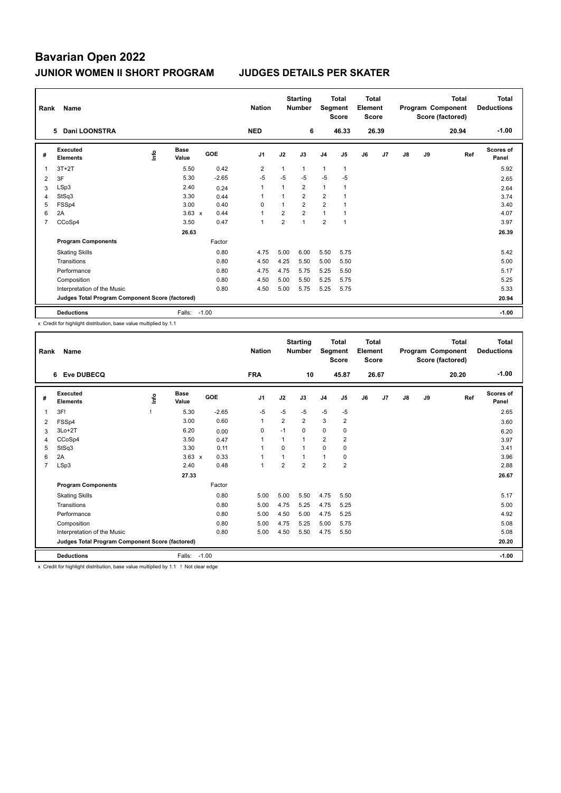| Rank           | Name                                            |      | <b>Nation</b>        |         | <b>Starting</b><br><b>Number</b> | Segment        | <b>Total</b><br><b>Score</b> | <b>Total</b><br>Element<br><b>Score</b> |                |    |       | <b>Total</b><br>Program Component<br>Score (factored) | <b>Total</b><br><b>Deductions</b> |       |                    |
|----------------|-------------------------------------------------|------|----------------------|---------|----------------------------------|----------------|------------------------------|-----------------------------------------|----------------|----|-------|-------------------------------------------------------|-----------------------------------|-------|--------------------|
|                | <b>Dani LOONSTRA</b><br>5.                      |      |                      |         | <b>NED</b>                       |                | 6                            |                                         | 46.33          |    | 26.39 |                                                       |                                   | 20.94 | $-1.00$            |
| #              | <b>Executed</b><br><b>Elements</b>              | ١nfo | <b>Base</b><br>Value | GOE     | J <sub>1</sub>                   | J2             | J3                           | J <sub>4</sub>                          | J <sub>5</sub> | J6 | J7    | $\mathsf{J}8$                                         | J9                                | Ref   | Scores of<br>Panel |
|                | $3T+2T$                                         |      | 5.50                 | 0.42    | $\overline{2}$                   |                | $\mathbf{1}$                 | $\mathbf{1}$                            | $\overline{1}$ |    |       |                                                       |                                   |       | 5.92               |
| $\overline{2}$ | 3F                                              |      | 5.30                 | $-2.65$ | $-5$                             | $-5$           | $-5$                         | $-5$                                    | $-5$           |    |       |                                                       |                                   |       | 2.65               |
| 3              | LSp3                                            |      | 2.40                 | 0.24    | 1                                |                | $\overline{2}$               | $\mathbf{1}$                            |                |    |       |                                                       |                                   |       | 2.64               |
| 4              | StSq3                                           |      | 3.30                 | 0.44    | 1                                | 1              | $\overline{2}$               | $\overline{2}$                          |                |    |       |                                                       |                                   |       | 3.74               |
| 5              | FSSp4                                           |      | 3.00                 | 0.40    | $\Omega$                         | $\overline{1}$ | $\overline{2}$               | $\overline{2}$                          |                |    |       |                                                       |                                   |       | 3.40               |
| 6              | 2A                                              |      | $3.63 \times$        | 0.44    | 1                                | $\overline{2}$ | $\overline{2}$               | $\mathbf{1}$                            | 1              |    |       |                                                       |                                   |       | 4.07               |
| $\overline{7}$ | CCoSp4                                          |      | 3.50                 | 0.47    | 1                                | $\overline{2}$ | $\mathbf{1}$                 | $\overline{2}$                          | $\overline{1}$ |    |       |                                                       |                                   |       | 3.97               |
|                |                                                 |      | 26.63                |         |                                  |                |                              |                                         |                |    |       |                                                       |                                   |       | 26.39              |
|                | <b>Program Components</b>                       |      |                      | Factor  |                                  |                |                              |                                         |                |    |       |                                                       |                                   |       |                    |
|                | <b>Skating Skills</b>                           |      |                      | 0.80    | 4.75                             | 5.00           | 6.00                         | 5.50                                    | 5.75           |    |       |                                                       |                                   |       | 5.42               |
|                | Transitions                                     |      |                      | 0.80    | 4.50                             | 4.25           | 5.50                         | 5.00                                    | 5.50           |    |       |                                                       |                                   |       | 5.00               |
|                | Performance                                     |      |                      | 0.80    | 4.75                             | 4.75           | 5.75                         | 5.25                                    | 5.50           |    |       |                                                       |                                   |       | 5.17               |
|                | Composition                                     |      |                      | 0.80    | 4.50                             | 5.00           | 5.50                         | 5.25                                    | 5.75           |    |       |                                                       |                                   |       | 5.25               |
|                | Interpretation of the Music                     |      |                      | 0.80    | 4.50                             | 5.00           | 5.75                         | 5.25                                    | 5.75           |    |       |                                                       |                                   |       | 5.33               |
|                | Judges Total Program Component Score (factored) |      |                      |         |                                  |                |                              |                                         |                |    |       |                                                       |                                   |       | 20.94              |
|                | <b>Deductions</b>                               |      | Falls:               | $-1.00$ |                                  |                |                              |                                         |                |    |       |                                                       |                                   |       | $-1.00$            |

x Credit for highlight distribution, base value multiplied by 1.1

| Rank           | Name                                            |      |                      |         | <b>Nation</b>  |                | <b>Starting</b><br><b>Number</b> | Segment        | <b>Total</b><br><b>Score</b> | <b>Total</b><br>Element<br><b>Score</b> |       |               |    | <b>Total</b><br>Program Component<br>Score (factored) | <b>Total</b><br><b>Deductions</b> |
|----------------|-------------------------------------------------|------|----------------------|---------|----------------|----------------|----------------------------------|----------------|------------------------------|-----------------------------------------|-------|---------------|----|-------------------------------------------------------|-----------------------------------|
|                | <b>Eve DUBECQ</b><br>6                          |      |                      |         | <b>FRA</b>     |                | 10                               |                | 45.87                        |                                         | 26.67 |               |    | 20.20                                                 | $-1.00$                           |
| #              | Executed<br><b>Elements</b>                     | lnfo | <b>Base</b><br>Value | GOE     | J <sub>1</sub> | J2             | J3                               | J <sub>4</sub> | J5                           | J6                                      | J7    | $\mathsf{J}8$ | J9 | Ref                                                   | <b>Scores of</b><br>Panel         |
| 1              | 3F!                                             |      | 5.30                 | $-2.65$ | $-5$           | $-5$           | $-5$                             | $-5$           | $-5$                         |                                         |       |               |    |                                                       | 2.65                              |
| 2              | FSSp4                                           |      | 3.00                 | 0.60    | $\mathbf{1}$   | $\overline{2}$ | $\overline{2}$                   | 3              | $\overline{2}$               |                                         |       |               |    |                                                       | 3.60                              |
| 3              | $3Lo+2T$                                        |      | 6.20                 | 0.00    | 0              | $-1$           | 0                                | $\pmb{0}$      | 0                            |                                         |       |               |    |                                                       | 6.20                              |
| 4              | CCoSp4                                          |      | 3.50                 | 0.47    | $\mathbf{1}$   |                | 1                                | $\overline{2}$ | $\overline{2}$               |                                         |       |               |    |                                                       | 3.97                              |
| 5              | StSq3                                           |      | 3.30                 | 0.11    | $\mathbf{1}$   | $\Omega$       | 1                                | $\mathbf 0$    | 0                            |                                         |       |               |    |                                                       | 3.41                              |
| 6              | 2A                                              |      | $3.63 \times$        | 0.33    | $\mathbf{1}$   |                | 1                                | $\mathbf{1}$   | 0                            |                                         |       |               |    |                                                       | 3.96                              |
| $\overline{7}$ | LSp3                                            |      | 2.40                 | 0.48    | $\mathbf{1}$   | $\overline{2}$ | $\overline{2}$                   | $\overline{2}$ | 2                            |                                         |       |               |    |                                                       | 2.88                              |
|                |                                                 |      | 27.33                |         |                |                |                                  |                |                              |                                         |       |               |    |                                                       | 26.67                             |
|                | <b>Program Components</b>                       |      |                      | Factor  |                |                |                                  |                |                              |                                         |       |               |    |                                                       |                                   |
|                | <b>Skating Skills</b>                           |      |                      | 0.80    | 5.00           | 5.00           | 5.50                             | 4.75           | 5.50                         |                                         |       |               |    |                                                       | 5.17                              |
|                | Transitions                                     |      |                      | 0.80    | 5.00           | 4.75           | 5.25                             | 4.75           | 5.25                         |                                         |       |               |    |                                                       | 5.00                              |
|                | Performance                                     |      |                      | 0.80    | 5.00           | 4.50           | 5.00                             | 4.75           | 5.25                         |                                         |       |               |    |                                                       | 4.92                              |
|                | Composition                                     |      |                      | 0.80    | 5.00           | 4.75           | 5.25                             | 5.00           | 5.75                         |                                         |       |               |    |                                                       | 5.08                              |
|                | Interpretation of the Music                     |      |                      | 0.80    | 5.00           | 4.50           | 5.50                             | 4.75           | 5.50                         |                                         |       |               |    |                                                       | 5.08                              |
|                | Judges Total Program Component Score (factored) |      |                      |         |                |                |                                  |                |                              |                                         |       |               |    |                                                       | 20.20                             |
|                | <b>Deductions</b>                               |      | Falls:               | $-1.00$ |                |                |                                  |                |                              |                                         |       |               |    |                                                       | $-1.00$                           |

x Credit for highlight distribution, base value multiplied by 1.1 ! Not clear edge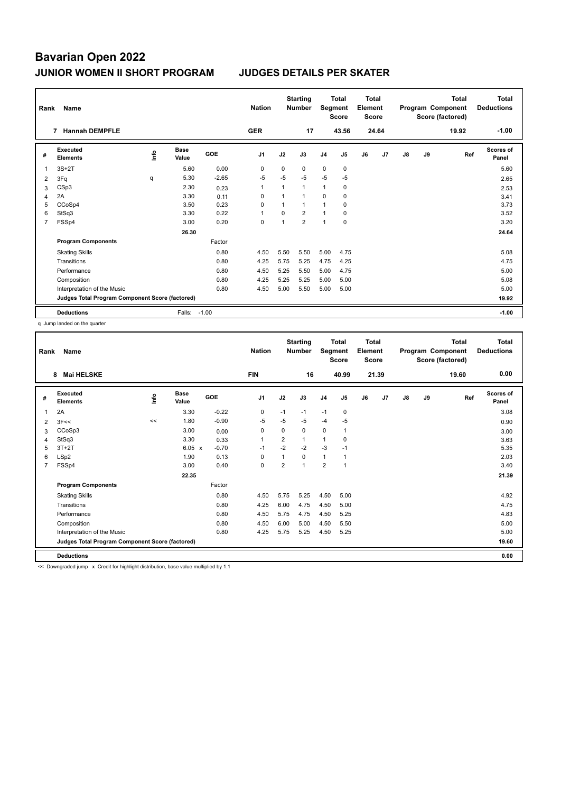| Rank | Name                                            |   | <b>Nation</b>        |         | <b>Starting</b><br><b>Number</b> |          | <b>Total</b><br>Segment<br><b>Score</b> | <b>Total</b><br>Element<br><b>Score</b> |                |    |       | <b>Total</b><br>Program Component<br>Score (factored) | Total<br><b>Deductions</b> |       |                           |
|------|-------------------------------------------------|---|----------------------|---------|----------------------------------|----------|-----------------------------------------|-----------------------------------------|----------------|----|-------|-------------------------------------------------------|----------------------------|-------|---------------------------|
|      | <b>Hannah DEMPFLE</b><br>$\overline{7}$         |   |                      |         | <b>GER</b>                       |          | 17                                      |                                         | 43.56          |    | 24.64 |                                                       |                            | 19.92 | $-1.00$                   |
| #    | Executed<br><b>Elements</b>                     | ۴ | <b>Base</b><br>Value | GOE     | J <sub>1</sub>                   | J2       | J3                                      | J <sub>4</sub>                          | J <sub>5</sub> | J6 | J7    | $\mathsf{J}8$                                         | J9                         | Ref   | <b>Scores of</b><br>Panel |
|      | $3S+2T$                                         |   | 5.60                 | 0.00    | 0                                | $\Omega$ | $\Omega$                                | $\mathbf 0$                             | 0              |    |       |                                                       |                            |       | 5.60                      |
| 2    | 3Fq                                             | q | 5.30                 | $-2.65$ | $-5$                             | $-5$     | $-5$                                    | $-5$                                    | $-5$           |    |       |                                                       |                            |       | 2.65                      |
| 3    | CSp3                                            |   | 2.30                 | 0.23    | 1                                | 1        | $\mathbf{1}$                            | $\mathbf{1}$                            | 0              |    |       |                                                       |                            |       | 2.53                      |
| 4    | 2A                                              |   | 3.30                 | 0.11    | 0                                | 1        | $\mathbf{1}$                            | 0                                       | 0              |    |       |                                                       |                            |       | 3.41                      |
| 5    | CCoSp4                                          |   | 3.50                 | 0.23    | 0                                | 1        | $\mathbf{1}$                            | 1                                       | 0              |    |       |                                                       |                            |       | 3.73                      |
| 6    | StSq3                                           |   | 3.30                 | 0.22    | 1                                | 0        | $\overline{2}$                          | $\mathbf{1}$                            | $\pmb{0}$      |    |       |                                                       |                            |       | 3.52                      |
| 7    | FSSp4                                           |   | 3.00                 | 0.20    | 0                                | 1        | $\overline{2}$                          | $\overline{1}$                          | 0              |    |       |                                                       |                            |       | 3.20                      |
|      |                                                 |   | 26.30                |         |                                  |          |                                         |                                         |                |    |       |                                                       |                            |       | 24.64                     |
|      | <b>Program Components</b>                       |   |                      | Factor  |                                  |          |                                         |                                         |                |    |       |                                                       |                            |       |                           |
|      | <b>Skating Skills</b>                           |   |                      | 0.80    | 4.50                             | 5.50     | 5.50                                    | 5.00                                    | 4.75           |    |       |                                                       |                            |       | 5.08                      |
|      | Transitions                                     |   |                      | 0.80    | 4.25                             | 5.75     | 5.25                                    | 4.75                                    | 4.25           |    |       |                                                       |                            |       | 4.75                      |
|      | Performance                                     |   |                      | 0.80    | 4.50                             | 5.25     | 5.50                                    | 5.00                                    | 4.75           |    |       |                                                       |                            |       | 5.00                      |
|      | Composition                                     |   |                      | 0.80    | 4.25                             | 5.25     | 5.25                                    | 5.00                                    | 5.00           |    |       |                                                       |                            |       | 5.08                      |
|      | Interpretation of the Music                     |   |                      | 0.80    | 4.50                             | 5.00     | 5.50                                    | 5.00                                    | 5.00           |    |       |                                                       |                            |       | 5.00                      |
|      | Judges Total Program Component Score (factored) |   |                      |         |                                  |          |                                         |                                         |                |    |       |                                                       |                            |       | 19.92                     |
|      | <b>Deductions</b>                               |   | Falls:               | $-1.00$ |                                  |          |                                         |                                         |                |    |       |                                                       |                            |       | $-1.00$                   |

q Jump landed on the quarter

| Rank           | Name<br><b>Mai HELSKE</b><br>8                  |      |                      |         | <b>Nation</b>  |                | <b>Starting</b><br><b>Number</b> | Segment        | <b>Total</b><br><b>Score</b> | Total<br>Element<br><b>Score</b> |                |    |    | <b>Total</b><br>Program Component<br>Score (factored) | <b>Total</b><br><b>Deductions</b> |
|----------------|-------------------------------------------------|------|----------------------|---------|----------------|----------------|----------------------------------|----------------|------------------------------|----------------------------------|----------------|----|----|-------------------------------------------------------|-----------------------------------|
|                |                                                 |      |                      |         | <b>FIN</b>     |                | 16                               |                | 40.99                        |                                  | 21.39          |    |    | 19.60                                                 | 0.00                              |
| #              | Executed<br><b>Elements</b>                     | lnfo | <b>Base</b><br>Value | GOE     | J <sub>1</sub> | J2             | J3                               | J <sub>4</sub> | J5                           | J6                               | J <sub>7</sub> | J8 | J9 | Ref                                                   | <b>Scores of</b><br>Panel         |
| 1              | 2A                                              |      | 3.30                 | $-0.22$ | 0              | $-1$           | $-1$                             | $-1$           | 0                            |                                  |                |    |    |                                                       | 3.08                              |
| 2              | 3F<<                                            | <<   | 1.80                 | $-0.90$ | $-5$           | $-5$           | $-5$                             | $-4$           | $-5$                         |                                  |                |    |    |                                                       | 0.90                              |
| 3              | CCoSp3                                          |      | 3.00                 | 0.00    | 0              | 0              | 0                                | 0              | 1                            |                                  |                |    |    |                                                       | 3.00                              |
| 4              | StSq3                                           |      | 3.30                 | 0.33    | 1              | 2              | 1                                | $\overline{1}$ | 0                            |                                  |                |    |    |                                                       | 3.63                              |
| 5              | $3T+2T$                                         |      | $6.05 \times$        | $-0.70$ | $-1$           | $-2$           | $-2$                             | $-3$           | $-1$                         |                                  |                |    |    |                                                       | 5.35                              |
| 6              | LSp2                                            |      | 1.90                 | 0.13    | 0              | 1              | $\Omega$                         | $\mathbf{1}$   | 1                            |                                  |                |    |    |                                                       | 2.03                              |
| $\overline{7}$ | FSSp4                                           |      | 3.00                 | 0.40    | $\mathbf 0$    | $\overline{2}$ | $\mathbf{1}$                     | $\overline{2}$ | $\mathbf{1}$                 |                                  |                |    |    |                                                       | 3.40                              |
|                |                                                 |      | 22.35                |         |                |                |                                  |                |                              |                                  |                |    |    |                                                       | 21.39                             |
|                | <b>Program Components</b>                       |      |                      | Factor  |                |                |                                  |                |                              |                                  |                |    |    |                                                       |                                   |
|                | <b>Skating Skills</b>                           |      |                      | 0.80    | 4.50           | 5.75           | 5.25                             | 4.50           | 5.00                         |                                  |                |    |    |                                                       | 4.92                              |
|                | Transitions                                     |      |                      | 0.80    | 4.25           | 6.00           | 4.75                             | 4.50           | 5.00                         |                                  |                |    |    |                                                       | 4.75                              |
|                | Performance                                     |      |                      | 0.80    | 4.50           | 5.75           | 4.75                             | 4.50           | 5.25                         |                                  |                |    |    |                                                       | 4.83                              |
|                | Composition                                     |      |                      | 0.80    | 4.50           | 6.00           | 5.00                             | 4.50           | 5.50                         |                                  |                |    |    |                                                       | 5.00                              |
|                | Interpretation of the Music                     |      |                      | 0.80    | 4.25           | 5.75           | 5.25                             | 4.50           | 5.25                         |                                  |                |    |    |                                                       | 5.00                              |
|                | Judges Total Program Component Score (factored) |      |                      |         |                |                |                                  |                |                              |                                  |                |    |    |                                                       | 19.60                             |
|                | <b>Deductions</b>                               |      |                      |         |                |                |                                  |                |                              |                                  |                |    |    |                                                       | 0.00                              |

<< Downgraded jump x Credit for highlight distribution, base value multiplied by 1.1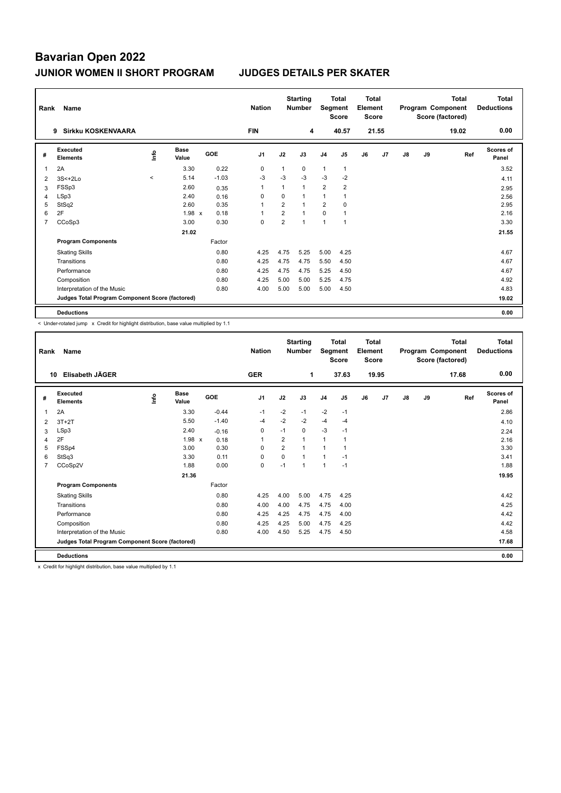| Rank | Name                                            |                     |                      |         | <b>Nation</b>  |                | <b>Starting</b><br><b>Number</b> | Segment        | <b>Total</b><br><b>Score</b> | Total<br>Element<br><b>Score</b> |       |               |    | <b>Total</b><br>Program Component<br>Score (factored) | <b>Total</b><br><b>Deductions</b> |
|------|-------------------------------------------------|---------------------|----------------------|---------|----------------|----------------|----------------------------------|----------------|------------------------------|----------------------------------|-------|---------------|----|-------------------------------------------------------|-----------------------------------|
|      | <b>Sirkku KOSKENVAARA</b><br>9                  |                     |                      |         | <b>FIN</b>     |                | 4                                |                | 40.57                        |                                  | 21.55 |               |    | 19.02                                                 | 0.00                              |
| #    | Executed<br><b>Elements</b>                     | ۴                   | <b>Base</b><br>Value | GOE     | J <sub>1</sub> | J2             | J3                               | J <sub>4</sub> | J <sub>5</sub>               | J6                               | J7    | $\mathsf{J}8$ | J9 | Ref                                                   | Scores of<br>Panel                |
|      | 2A                                              |                     | 3.30                 | 0.22    | 0              | 1              | $\mathbf 0$                      | $\mathbf{1}$   | $\mathbf{1}$                 |                                  |       |               |    |                                                       | 3.52                              |
| 2    | $3S<+2Lo$                                       | $\hat{\phantom{a}}$ | 5.14                 | $-1.03$ | $-3$           | $-3$           | $-3$                             | $-3$           | $-2$                         |                                  |       |               |    |                                                       | 4.11                              |
| 3    | FSSp3                                           |                     | 2.60                 | 0.35    | 1              | 1              | $\mathbf{1}$                     | $\overline{2}$ | $\overline{2}$               |                                  |       |               |    |                                                       | 2.95                              |
| 4    | LSp3                                            |                     | 2.40                 | 0.16    | 0              | 0              | $\mathbf{1}$                     | 1              |                              |                                  |       |               |    |                                                       | 2.56                              |
| 5    | StSq2                                           |                     | 2.60                 | 0.35    | 1              | $\overline{2}$ | $\mathbf{1}$                     | $\overline{2}$ | $\Omega$                     |                                  |       |               |    |                                                       | 2.95                              |
| 6    | 2F                                              |                     | $1.98 \times$        | 0.18    | 1              | $\overline{2}$ | $\mathbf{1}$                     | $\Omega$       | 1                            |                                  |       |               |    |                                                       | 2.16                              |
| 7    | CCoSp3                                          |                     | 3.00                 | 0.30    | 0              | $\overline{2}$ | $\mathbf{1}$                     | $\overline{1}$ | $\overline{1}$               |                                  |       |               |    |                                                       | 3.30                              |
|      |                                                 |                     | 21.02                |         |                |                |                                  |                |                              |                                  |       |               |    |                                                       | 21.55                             |
|      | <b>Program Components</b>                       |                     |                      | Factor  |                |                |                                  |                |                              |                                  |       |               |    |                                                       |                                   |
|      | <b>Skating Skills</b>                           |                     |                      | 0.80    | 4.25           | 4.75           | 5.25                             | 5.00           | 4.25                         |                                  |       |               |    |                                                       | 4.67                              |
|      | Transitions                                     |                     |                      | 0.80    | 4.25           | 4.75           | 4.75                             | 5.50           | 4.50                         |                                  |       |               |    |                                                       | 4.67                              |
|      | Performance                                     |                     |                      | 0.80    | 4.25           | 4.75           | 4.75                             | 5.25           | 4.50                         |                                  |       |               |    |                                                       | 4.67                              |
|      | Composition                                     |                     |                      | 0.80    | 4.25           | 5.00           | 5.00                             | 5.25           | 4.75                         |                                  |       |               |    |                                                       | 4.92                              |
|      | Interpretation of the Music                     |                     |                      | 0.80    | 4.00           | 5.00           | 5.00                             | 5.00           | 4.50                         |                                  |       |               |    |                                                       | 4.83                              |
|      | Judges Total Program Component Score (factored) |                     |                      |         |                |                |                                  |                |                              |                                  |       |               |    |                                                       | 19.02                             |
|      | <b>Deductions</b>                               |                     |                      |         |                |                |                                  |                |                              |                                  |       |               |    |                                                       | 0.00                              |

< Under-rotated jump x Credit for highlight distribution, base value multiplied by 1.1

| Rank | Name                                            |      |                      |         | <b>Nation</b>  |                | <b>Starting</b><br><b>Number</b> | Segment        | <b>Total</b><br><b>Score</b> | Total<br>Element<br><b>Score</b> |       |    |    | Total<br>Program Component<br>Score (factored) | <b>Total</b><br><b>Deductions</b> |
|------|-------------------------------------------------|------|----------------------|---------|----------------|----------------|----------------------------------|----------------|------------------------------|----------------------------------|-------|----|----|------------------------------------------------|-----------------------------------|
|      | Elisabeth JÄGER<br>10                           |      |                      |         | <b>GER</b>     |                | 1                                |                | 37.63                        |                                  | 19.95 |    |    | 17.68                                          | 0.00                              |
| #    | Executed<br><b>Elements</b>                     | lnfo | <b>Base</b><br>Value | GOE     | J <sub>1</sub> | J2             | J3                               | J <sub>4</sub> | J <sub>5</sub>               | J6                               | J7    | J8 | J9 | Ref                                            | <b>Scores of</b><br>Panel         |
| 1    | 2A                                              |      | 3.30                 | $-0.44$ | $-1$           | $-2$           | $-1$                             | $-2$           | $-1$                         |                                  |       |    |    |                                                | 2.86                              |
| 2    | $3T+2T$                                         |      | 5.50                 | $-1.40$ | $-4$           | $-2$           | $-2$                             | $-4$           | $-4$                         |                                  |       |    |    |                                                | 4.10                              |
| 3    | LSp3                                            |      | 2.40                 | $-0.16$ | 0              | $-1$           | 0                                | $-3$           | $-1$                         |                                  |       |    |    |                                                | 2.24                              |
| 4    | 2F                                              |      | 1.98 x               | 0.18    | 1              | $\overline{2}$ | 1                                | 1              | 1                            |                                  |       |    |    |                                                | 2.16                              |
| 5    | FSSp4                                           |      | 3.00                 | 0.30    | $\Omega$       | $\overline{2}$ |                                  |                |                              |                                  |       |    |    |                                                | 3.30                              |
| 6    | StSq3                                           |      | 3.30                 | 0.11    | 0              | 0              | 1                                | 1              | $-1$                         |                                  |       |    |    |                                                | 3.41                              |
| 7    | CCoSp2V                                         |      | 1.88                 | 0.00    | 0              | $-1$           | 1                                | 1              | $-1$                         |                                  |       |    |    |                                                | 1.88                              |
|      |                                                 |      | 21.36                |         |                |                |                                  |                |                              |                                  |       |    |    |                                                | 19.95                             |
|      | <b>Program Components</b>                       |      |                      | Factor  |                |                |                                  |                |                              |                                  |       |    |    |                                                |                                   |
|      | <b>Skating Skills</b>                           |      |                      | 0.80    | 4.25           | 4.00           | 5.00                             | 4.75           | 4.25                         |                                  |       |    |    |                                                | 4.42                              |
|      | Transitions                                     |      |                      | 0.80    | 4.00           | 4.00           | 4.75                             | 4.75           | 4.00                         |                                  |       |    |    |                                                | 4.25                              |
|      | Performance                                     |      |                      | 0.80    | 4.25           | 4.25           | 4.75                             | 4.75           | 4.00                         |                                  |       |    |    |                                                | 4.42                              |
|      | Composition                                     |      |                      | 0.80    | 4.25           | 4.25           | 5.00                             | 4.75           | 4.25                         |                                  |       |    |    |                                                | 4.42                              |
|      | Interpretation of the Music                     |      |                      | 0.80    | 4.00           | 4.50           | 5.25                             | 4.75           | 4.50                         |                                  |       |    |    |                                                | 4.58                              |
|      | Judges Total Program Component Score (factored) |      |                      |         |                |                |                                  |                |                              |                                  |       |    |    |                                                | 17.68                             |
|      | <b>Deductions</b>                               |      |                      |         |                |                |                                  |                |                              |                                  |       |    |    |                                                | 0.00                              |

x Credit for highlight distribution, base value multiplied by 1.1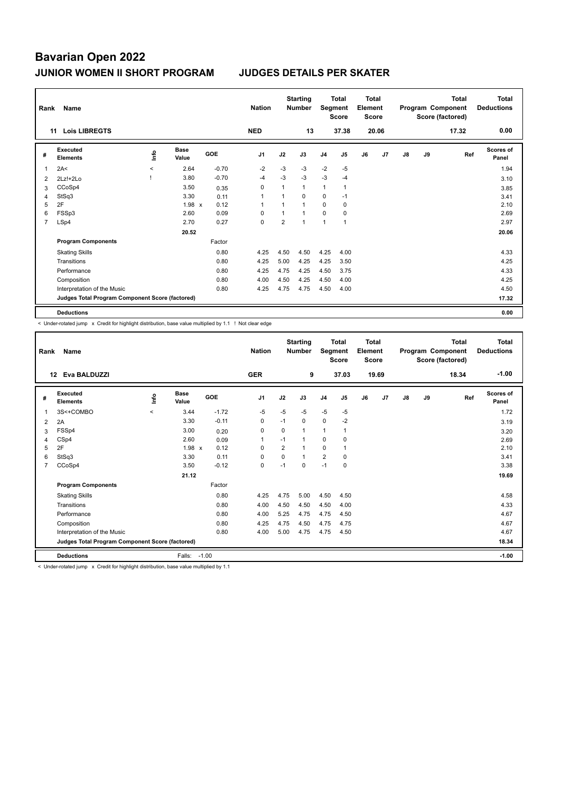| Rank           | Name                                            |                     |               |         | <b>Nation</b>  |                | <b>Starting</b><br><b>Number</b> |                | <b>Total</b><br>Segment<br><b>Score</b> | <b>Total</b><br>Element<br>Score |       |               |    | <b>Total</b><br>Program Component<br>Score (factored) | Total<br><b>Deductions</b> |
|----------------|-------------------------------------------------|---------------------|---------------|---------|----------------|----------------|----------------------------------|----------------|-----------------------------------------|----------------------------------|-------|---------------|----|-------------------------------------------------------|----------------------------|
|                | <b>Lois LIBREGTS</b><br>11                      |                     |               |         | <b>NED</b>     |                | 13                               |                | 37.38                                   |                                  | 20.06 |               |    | 17.32                                                 | 0.00                       |
| #              | Executed<br><b>Elements</b>                     | ١nfo                | Base<br>Value | GOE     | J <sub>1</sub> | J2             | J3                               | J <sub>4</sub> | J <sub>5</sub>                          | J6                               | J7    | $\mathsf{J}8$ | J9 | Ref                                                   | Scores of<br>Panel         |
|                | 2A<                                             | $\hat{\phantom{a}}$ | 2.64          | $-0.70$ | $-2$           | $-3$           | $-3$                             | $-2$           | $-5$                                    |                                  |       |               |    |                                                       | 1.94                       |
| 2              | $2Lz!+2Lo$                                      |                     | 3.80          | $-0.70$ | $-4$           | $-3$           | $-3$                             | $-3$           | $-4$                                    |                                  |       |               |    |                                                       | 3.10                       |
| 3              | CCoSp4                                          |                     | 3.50          | 0.35    | 0              | 1              | $\mathbf{1}$                     | $\mathbf{1}$   | 1                                       |                                  |       |               |    |                                                       | 3.85                       |
| 4              | StSq3                                           |                     | 3.30          | 0.11    | 1              | 1              | $\mathbf 0$                      | 0              | $-1$                                    |                                  |       |               |    |                                                       | 3.41                       |
| 5              | 2F                                              |                     | $1.98 \times$ | 0.12    | 1              | 1              | 1                                | $\Omega$       | $\mathbf 0$                             |                                  |       |               |    |                                                       | 2.10                       |
| 6              | FSSp3                                           |                     | 2.60          | 0.09    | $\Omega$       | 1              | 1                                | $\Omega$       | 0                                       |                                  |       |               |    |                                                       | 2.69                       |
| $\overline{7}$ | LSp4                                            |                     | 2.70          | 0.27    | 0              | $\overline{2}$ |                                  | $\overline{1}$ | $\overline{1}$                          |                                  |       |               |    |                                                       | 2.97                       |
|                |                                                 |                     | 20.52         |         |                |                |                                  |                |                                         |                                  |       |               |    |                                                       | 20.06                      |
|                | <b>Program Components</b>                       |                     |               | Factor  |                |                |                                  |                |                                         |                                  |       |               |    |                                                       |                            |
|                | <b>Skating Skills</b>                           |                     |               | 0.80    | 4.25           | 4.50           | 4.50                             | 4.25           | 4.00                                    |                                  |       |               |    |                                                       | 4.33                       |
|                | Transitions                                     |                     |               | 0.80    | 4.25           | 5.00           | 4.25                             | 4.25           | 3.50                                    |                                  |       |               |    |                                                       | 4.25                       |
|                | Performance                                     |                     |               | 0.80    | 4.25           | 4.75           | 4.25                             | 4.50           | 3.75                                    |                                  |       |               |    |                                                       | 4.33                       |
|                | Composition                                     |                     |               | 0.80    | 4.00           | 4.50           | 4.25                             | 4.50           | 4.00                                    |                                  |       |               |    |                                                       | 4.25                       |
|                | Interpretation of the Music                     |                     |               | 0.80    | 4.25           | 4.75           | 4.75                             | 4.50           | 4.00                                    |                                  |       |               |    |                                                       | 4.50                       |
|                | Judges Total Program Component Score (factored) |                     |               |         |                |                |                                  |                |                                         |                                  |       |               |    |                                                       | 17.32                      |
|                | <b>Deductions</b>                               |                     |               |         |                |                |                                  |                |                                         |                                  |       |               |    |                                                       | 0.00                       |

< Under-rotated jump x Credit for highlight distribution, base value multiplied by 1.1 ! Not clear edge

| Rank | <b>Name</b><br>Eva BALDUZZI<br>12               |          |             |         | <b>Nation</b><br><b>GER</b> |                | <b>Starting</b><br><b>Number</b><br>9 | Segment        | <b>Total</b><br><b>Score</b><br>37.03 | <b>Total</b><br>Element<br><b>Score</b> | 19.69          |    |    | <b>Total</b><br>Program Component<br>Score (factored)<br>18.34 | <b>Total</b><br><b>Deductions</b><br>$-1.00$ |
|------|-------------------------------------------------|----------|-------------|---------|-----------------------------|----------------|---------------------------------------|----------------|---------------------------------------|-----------------------------------------|----------------|----|----|----------------------------------------------------------------|----------------------------------------------|
|      | Executed                                        |          | <b>Base</b> | GOE     |                             |                |                                       |                |                                       |                                         |                |    |    |                                                                | Scores of                                    |
| #    | <b>Elements</b>                                 | lnfo     | Value       |         | J <sub>1</sub>              | J2             | J3                                    | J <sub>4</sub> | J <sub>5</sub>                        | J6                                      | J <sub>7</sub> | J8 | J9 | Ref                                                            | Panel                                        |
|      | 3S<+COMBO                                       | $\hat{}$ | 3.44        | $-1.72$ | $-5$                        | $-5$           | $-5$                                  | $-5$           | $-5$                                  |                                         |                |    |    |                                                                | 1.72                                         |
| 2    | 2A                                              |          | 3.30        | $-0.11$ | 0                           | $-1$           | 0                                     | $\mathbf 0$    | $-2$                                  |                                         |                |    |    |                                                                | 3.19                                         |
| 3    | FSSp4                                           |          | 3.00        | 0.20    | 0                           | 0              | 1                                     | $\mathbf{1}$   | $\mathbf{1}$                          |                                         |                |    |    |                                                                | 3.20                                         |
| 4    | CSp4                                            |          | 2.60        | 0.09    | $\mathbf 1$                 | $-1$           | 1                                     | $\mathbf 0$    | 0                                     |                                         |                |    |    |                                                                | 2.69                                         |
| 5    | 2F                                              |          | 1.98 x      | 0.12    | 0                           | $\overline{2}$ | 1                                     | $\mathbf 0$    | 1                                     |                                         |                |    |    |                                                                | 2.10                                         |
| 6    | StSq3                                           |          | 3.30        | 0.11    | $\Omega$                    | $\Omega$       | $\mathbf{1}$                          | $\overline{2}$ | $\Omega$                              |                                         |                |    |    |                                                                | 3.41                                         |
| 7    | CCoSp4                                          |          | 3.50        | $-0.12$ | 0                           | $-1$           | 0                                     | $-1$           | 0                                     |                                         |                |    |    |                                                                | 3.38                                         |
|      |                                                 |          | 21.12       |         |                             |                |                                       |                |                                       |                                         |                |    |    |                                                                | 19.69                                        |
|      | <b>Program Components</b>                       |          |             | Factor  |                             |                |                                       |                |                                       |                                         |                |    |    |                                                                |                                              |
|      | <b>Skating Skills</b>                           |          |             | 0.80    | 4.25                        | 4.75           | 5.00                                  | 4.50           | 4.50                                  |                                         |                |    |    |                                                                | 4.58                                         |
|      | Transitions                                     |          |             | 0.80    | 4.00                        | 4.50           | 4.50                                  | 4.50           | 4.00                                  |                                         |                |    |    |                                                                | 4.33                                         |
|      | Performance                                     |          |             | 0.80    | 4.00                        | 5.25           | 4.75                                  | 4.75           | 4.50                                  |                                         |                |    |    |                                                                | 4.67                                         |
|      | Composition                                     |          |             | 0.80    | 4.25                        | 4.75           | 4.50                                  | 4.75           | 4.75                                  |                                         |                |    |    |                                                                | 4.67                                         |
|      | Interpretation of the Music                     |          |             | 0.80    | 4.00                        | 5.00           | 4.75                                  | 4.75           | 4.50                                  |                                         |                |    |    |                                                                | 4.67                                         |
|      | Judges Total Program Component Score (factored) |          |             |         |                             |                |                                       |                |                                       |                                         |                |    |    |                                                                | 18.34                                        |
|      | <b>Deductions</b>                               |          | Falls:      | $-1.00$ |                             |                |                                       |                |                                       |                                         |                |    |    |                                                                | $-1.00$                                      |

< Under-rotated jump x Credit for highlight distribution, base value multiplied by 1.1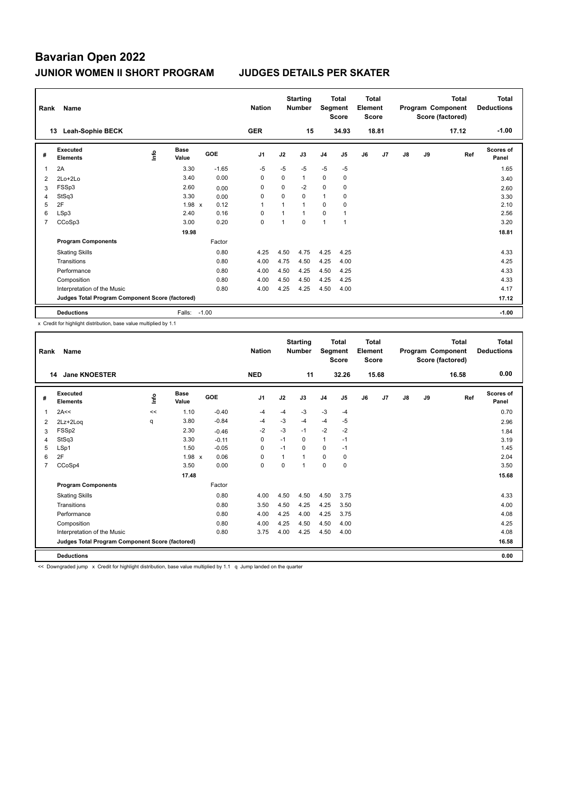|                | Rank<br>Name                                    |      |                      |         | <b>Nation</b>  |                | <b>Starting</b><br><b>Number</b> |                | <b>Total</b><br>Segment<br><b>Score</b> |    | <b>Total</b><br>Element<br><b>Score</b> |               |    | <b>Total</b><br>Program Component<br>Score (factored) | <b>Total</b><br><b>Deductions</b> |
|----------------|-------------------------------------------------|------|----------------------|---------|----------------|----------------|----------------------------------|----------------|-----------------------------------------|----|-----------------------------------------|---------------|----|-------------------------------------------------------|-----------------------------------|
|                | <b>Leah-Sophie BECK</b><br>13                   |      |                      |         | <b>GER</b>     |                | 15                               |                | 34.93                                   |    | 18.81                                   |               |    | 17.12                                                 | $-1.00$                           |
| #              | Executed<br><b>Elements</b>                     | ١nfo | <b>Base</b><br>Value | GOE     | J <sub>1</sub> | J2             | J3                               | J <sub>4</sub> | J <sub>5</sub>                          | J6 | J7                                      | $\mathsf{J}8$ | J9 | Ref                                                   | Scores of<br>Panel                |
|                | 2A                                              |      | 3.30                 | $-1.65$ | $-5$           | $-5$           | $-5$                             | $-5$           | $-5$                                    |    |                                         |               |    |                                                       | 1.65                              |
| $\overline{2}$ | 2Lo+2Lo                                         |      | 3.40                 | 0.00    | 0              | 0              | $\mathbf{1}$                     | 0              | 0                                       |    |                                         |               |    |                                                       | 3.40                              |
| 3              | FSSp3                                           |      | 2.60                 | 0.00    | 0              | 0              | $-2$                             | $\mathbf 0$    | 0                                       |    |                                         |               |    |                                                       | 2.60                              |
| 4              | StSq3                                           |      | 3.30                 | 0.00    | 0              | 0              | $\mathbf 0$                      | $\mathbf{1}$   | 0                                       |    |                                         |               |    |                                                       | 3.30                              |
| 5              | 2F                                              |      | $1.98 \times$        | 0.12    | 1              | $\overline{1}$ | $\mathbf{1}$                     | $\Omega$       | $\mathbf 0$                             |    |                                         |               |    |                                                       | 2.10                              |
| 6              | LSp3                                            |      | 2.40                 | 0.16    | 0              | 1              | $\mathbf{1}$                     | $\mathbf 0$    | 1                                       |    |                                         |               |    |                                                       | 2.56                              |
| $\overline{7}$ | CCoSp3                                          |      | 3.00                 | 0.20    | 0              | 1              | $\mathbf 0$                      | $\mathbf{1}$   | $\overline{1}$                          |    |                                         |               |    |                                                       | 3.20                              |
|                |                                                 |      | 19.98                |         |                |                |                                  |                |                                         |    |                                         |               |    |                                                       | 18.81                             |
|                | <b>Program Components</b>                       |      |                      | Factor  |                |                |                                  |                |                                         |    |                                         |               |    |                                                       |                                   |
|                | <b>Skating Skills</b>                           |      |                      | 0.80    | 4.25           | 4.50           | 4.75                             | 4.25           | 4.25                                    |    |                                         |               |    |                                                       | 4.33                              |
|                | Transitions                                     |      |                      | 0.80    | 4.00           | 4.75           | 4.50                             | 4.25           | 4.00                                    |    |                                         |               |    |                                                       | 4.25                              |
|                | Performance                                     |      |                      | 0.80    | 4.00           | 4.50           | 4.25                             | 4.50           | 4.25                                    |    |                                         |               |    |                                                       | 4.33                              |
|                | Composition                                     |      |                      | 0.80    | 4.00           | 4.50           | 4.50                             | 4.25           | 4.25                                    |    |                                         |               |    |                                                       | 4.33                              |
|                | Interpretation of the Music                     |      |                      | 0.80    | 4.00           | 4.25           | 4.25                             | 4.50           | 4.00                                    |    |                                         |               |    |                                                       | 4.17                              |
|                | Judges Total Program Component Score (factored) |      |                      |         |                |                |                                  |                |                                         |    |                                         |               |    |                                                       | 17.12                             |
|                | <b>Deductions</b>                               |      | Falls:               | $-1.00$ |                |                |                                  |                |                                         |    |                                         |               |    |                                                       | $-1.00$                           |

x Credit for highlight distribution, base value multiplied by 1.1

| Rank           | Name                                            |      |                      |            | <b>Nation</b>  |          | <b>Starting</b><br><b>Number</b> | Segment        | <b>Total</b><br><b>Score</b> | <b>Total</b><br>Element<br><b>Score</b> |                |               |    | <b>Total</b><br>Program Component<br>Score (factored) | <b>Total</b><br><b>Deductions</b> |
|----------------|-------------------------------------------------|------|----------------------|------------|----------------|----------|----------------------------------|----------------|------------------------------|-----------------------------------------|----------------|---------------|----|-------------------------------------------------------|-----------------------------------|
|                | <b>Jane KNOESTER</b><br>14                      |      |                      |            | <b>NED</b>     |          | 11                               |                | 32.26                        |                                         | 15.68          |               |    | 16.58                                                 | 0.00                              |
| #              | Executed<br><b>Elements</b>                     | Info | <b>Base</b><br>Value | <b>GOE</b> | J <sub>1</sub> | J2       | J3                               | J <sub>4</sub> | J5                           | J6                                      | J <sub>7</sub> | $\mathsf{J}8$ | J9 | Ref                                                   | <b>Scores of</b><br>Panel         |
| 1              | 2A<<                                            | <<   | 1.10                 | $-0.40$    | $-4$           | -4       | $-3$                             | $-3$           | $-4$                         |                                         |                |               |    |                                                       | 0.70                              |
| 2              | 2Lz+2Loq                                        | q    | 3.80                 | $-0.84$    | $-4$           | $-3$     | $-4$                             | $-4$           | $-5$                         |                                         |                |               |    |                                                       | 2.96                              |
| 3              | FSSp2                                           |      | 2.30                 | $-0.46$    | $-2$           | $-3$     | $-1$                             | $-2$           | $-2$                         |                                         |                |               |    |                                                       | 1.84                              |
| $\overline{4}$ | StSq3                                           |      | 3.30                 | $-0.11$    | 0              | $-1$     | 0                                | $\mathbf{1}$   | $-1$                         |                                         |                |               |    |                                                       | 3.19                              |
| 5              | LSp1                                            |      | 1.50                 | $-0.05$    | $\Omega$       | $-1$     | 0                                | $\mathbf 0$    | $-1$                         |                                         |                |               |    |                                                       | 1.45                              |
| 6              | 2F                                              |      | $1.98 \times$        | 0.06       | $\mathbf 0$    |          | 1                                | $\mathbf 0$    | 0                            |                                         |                |               |    |                                                       | 2.04                              |
| $\overline{7}$ | CCoSp4                                          |      | 3.50                 | 0.00       | $\mathbf 0$    | $\Omega$ | 1                                | $\mathbf 0$    | 0                            |                                         |                |               |    |                                                       | 3.50                              |
|                |                                                 |      | 17.48                |            |                |          |                                  |                |                              |                                         |                |               |    |                                                       | 15.68                             |
|                | <b>Program Components</b>                       |      |                      | Factor     |                |          |                                  |                |                              |                                         |                |               |    |                                                       |                                   |
|                | <b>Skating Skills</b>                           |      |                      | 0.80       | 4.00           | 4.50     | 4.50                             | 4.50           | 3.75                         |                                         |                |               |    |                                                       | 4.33                              |
|                | Transitions                                     |      |                      | 0.80       | 3.50           | 4.50     | 4.25                             | 4.25           | 3.50                         |                                         |                |               |    |                                                       | 4.00                              |
|                | Performance                                     |      |                      | 0.80       | 4.00           | 4.25     | 4.00                             | 4.25           | 3.75                         |                                         |                |               |    |                                                       | 4.08                              |
|                | Composition                                     |      |                      | 0.80       | 4.00           | 4.25     | 4.50                             | 4.50           | 4.00                         |                                         |                |               |    |                                                       | 4.25                              |
|                | Interpretation of the Music                     |      |                      | 0.80       | 3.75           | 4.00     | 4.25                             | 4.50           | 4.00                         |                                         |                |               |    |                                                       | 4.08                              |
|                | Judges Total Program Component Score (factored) |      |                      |            |                |          |                                  |                |                              |                                         |                |               |    |                                                       | 16.58                             |
|                | <b>Deductions</b>                               |      |                      |            |                |          |                                  |                |                              |                                         |                |               |    |                                                       | 0.00                              |
|                | -                                               |      |                      | .          | .<br>$\sim$    |          |                                  |                |                              |                                         |                |               |    |                                                       |                                   |

<< Downgraded jump x Credit for highlight distribution, base value multiplied by 1.1 q Jump landed on the quarter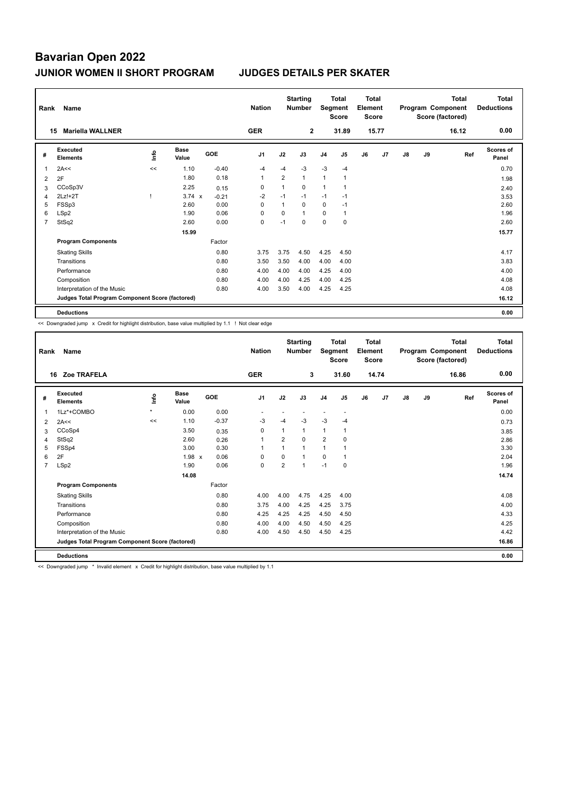| Rank           | Name                                            |      |                      |         | <b>Nation</b>  |                | <b>Starting</b><br><b>Number</b> |                | <b>Total</b><br>Segment<br><b>Score</b> | <b>Total</b><br>Element<br><b>Score</b> |       |               |    | <b>Total</b><br>Program Component<br>Score (factored) | <b>Total</b><br><b>Deductions</b> |
|----------------|-------------------------------------------------|------|----------------------|---------|----------------|----------------|----------------------------------|----------------|-----------------------------------------|-----------------------------------------|-------|---------------|----|-------------------------------------------------------|-----------------------------------|
|                | <b>Mariella WALLNER</b><br>15                   |      |                      |         | <b>GER</b>     |                | $\mathbf{2}$                     |                | 31.89                                   |                                         | 15.77 |               |    | 16.12                                                 | 0.00                              |
| #              | Executed<br><b>Elements</b>                     | ١nfo | <b>Base</b><br>Value | GOE     | J <sub>1</sub> | J2             | J3                               | J <sub>4</sub> | J <sub>5</sub>                          | J6                                      | J7    | $\mathsf{J}8$ | J9 | Ref                                                   | <b>Scores of</b><br>Panel         |
| -1             | 2A<<                                            | <<   | 1.10                 | $-0.40$ | $-4$           | $-4$           | $-3$                             | $-3$           | $-4$                                    |                                         |       |               |    |                                                       | 0.70                              |
| $\overline{2}$ | 2F                                              |      | 1.80                 | 0.18    | 1              | $\overline{2}$ | $\mathbf{1}$                     | $\overline{1}$ | 1                                       |                                         |       |               |    |                                                       | 1.98                              |
| 3              | CCoSp3V                                         |      | 2.25                 | 0.15    | 0              | 1              | 0                                | 1              | 1                                       |                                         |       |               |    |                                                       | 2.40                              |
| 4              | 2Lz!+2T                                         |      | $3.74 \times$        | $-0.21$ | $-2$           | $-1$           | $-1$                             | $-1$           | $-1$                                    |                                         |       |               |    |                                                       | 3.53                              |
| 5              | FSSp3                                           |      | 2.60                 | 0.00    | $\Omega$       | $\mathbf{1}$   | $\Omega$                         | 0              | $-1$                                    |                                         |       |               |    |                                                       | 2.60                              |
| 6              | LSp2                                            |      | 1.90                 | 0.06    | $\Omega$       | 0              | $\mathbf{1}$                     | $\mathbf 0$    | $\overline{1}$                          |                                         |       |               |    |                                                       | 1.96                              |
| $\overline{7}$ | StSq2                                           |      | 2.60                 | 0.00    | 0              | $-1$           | $\Omega$                         | 0              | 0                                       |                                         |       |               |    |                                                       | 2.60                              |
|                |                                                 |      | 15.99                |         |                |                |                                  |                |                                         |                                         |       |               |    |                                                       | 15.77                             |
|                | <b>Program Components</b>                       |      |                      | Factor  |                |                |                                  |                |                                         |                                         |       |               |    |                                                       |                                   |
|                | <b>Skating Skills</b>                           |      |                      | 0.80    | 3.75           | 3.75           | 4.50                             | 4.25           | 4.50                                    |                                         |       |               |    |                                                       | 4.17                              |
|                | Transitions                                     |      |                      | 0.80    | 3.50           | 3.50           | 4.00                             | 4.00           | 4.00                                    |                                         |       |               |    |                                                       | 3.83                              |
|                | Performance                                     |      |                      | 0.80    | 4.00           | 4.00           | 4.00                             | 4.25           | 4.00                                    |                                         |       |               |    |                                                       | 4.00                              |
|                | Composition                                     |      |                      | 0.80    | 4.00           | 4.00           | 4.25                             | 4.00           | 4.25                                    |                                         |       |               |    |                                                       | 4.08                              |
|                | Interpretation of the Music                     |      |                      | 0.80    | 4.00           | 3.50           | 4.00                             | 4.25           | 4.25                                    |                                         |       |               |    |                                                       | 4.08                              |
|                | Judges Total Program Component Score (factored) |      |                      |         |                |                |                                  |                |                                         |                                         |       |               |    |                                                       | 16.12                             |
|                | <b>Deductions</b>                               |      |                      |         |                |                |                                  |                |                                         |                                         |       |               |    |                                                       | 0.00                              |

<< Downgraded jump x Credit for highlight distribution, base value multiplied by 1.1 ! Not clear edge

| Rank           | Name                                            |         |                      |         | <b>Nation</b>  |                | <b>Starting</b><br><b>Number</b> | Segment        | <b>Total</b><br><b>Score</b> | Total<br>Element<br><b>Score</b> |       |               |    | Total<br>Program Component<br>Score (factored) | <b>Total</b><br><b>Deductions</b> |
|----------------|-------------------------------------------------|---------|----------------------|---------|----------------|----------------|----------------------------------|----------------|------------------------------|----------------------------------|-------|---------------|----|------------------------------------------------|-----------------------------------|
|                | Zoe TRAFELA<br>16                               |         |                      |         | <b>GER</b>     |                | 3                                |                | 31.60                        |                                  | 14.74 |               |    | 16.86                                          | 0.00                              |
| #              | Executed<br><b>Elements</b>                     | ١nf٥    | <b>Base</b><br>Value | GOE     | J <sub>1</sub> | J2             | J3                               | J <sub>4</sub> | J <sub>5</sub>               | J6                               | J7    | $\mathsf{J}8$ | J9 | Ref                                            | <b>Scores of</b><br>Panel         |
| 1              | 1Lz*+COMBO                                      | $\star$ | 0.00                 | 0.00    |                |                |                                  |                | $\overline{\phantom{a}}$     |                                  |       |               |    |                                                | 0.00                              |
| $\overline{2}$ | 2A<<                                            | <<      | 1.10                 | $-0.37$ | $-3$           | $-4$           | $-3$                             | $-3$           | $-4$                         |                                  |       |               |    |                                                | 0.73                              |
| 3              | CCoSp4                                          |         | 3.50                 | 0.35    | $\mathbf 0$    | 1              | 1                                | 1              | 1                            |                                  |       |               |    |                                                | 3.85                              |
| 4              | StSq2                                           |         | 2.60                 | 0.26    | 1              | $\overline{2}$ | $\Omega$                         | $\overline{2}$ | 0                            |                                  |       |               |    |                                                | 2.86                              |
| 5              | FSSp4                                           |         | 3.00                 | 0.30    | 1              |                | 1                                | 1              |                              |                                  |       |               |    |                                                | 3.30                              |
| 6              | 2F                                              |         | 1.98 x               | 0.06    | 0              | 0              |                                  | 0              | 1                            |                                  |       |               |    |                                                | 2.04                              |
| $\overline{7}$ | LSp2                                            |         | 1.90                 | 0.06    | $\Omega$       | $\overline{2}$ | $\overline{1}$                   | $-1$           | $\Omega$                     |                                  |       |               |    |                                                | 1.96                              |
|                |                                                 |         | 14.08                |         |                |                |                                  |                |                              |                                  |       |               |    |                                                | 14.74                             |
|                | <b>Program Components</b>                       |         |                      | Factor  |                |                |                                  |                |                              |                                  |       |               |    |                                                |                                   |
|                | <b>Skating Skills</b>                           |         |                      | 0.80    | 4.00           | 4.00           | 4.75                             | 4.25           | 4.00                         |                                  |       |               |    |                                                | 4.08                              |
|                | Transitions                                     |         |                      | 0.80    | 3.75           | 4.00           | 4.25                             | 4.25           | 3.75                         |                                  |       |               |    |                                                | 4.00                              |
|                | Performance                                     |         |                      | 0.80    | 4.25           | 4.25           | 4.25                             | 4.50           | 4.50                         |                                  |       |               |    |                                                | 4.33                              |
|                | Composition                                     |         |                      | 0.80    | 4.00           | 4.00           | 4.50                             | 4.50           | 4.25                         |                                  |       |               |    |                                                | 4.25                              |
|                | Interpretation of the Music                     |         |                      | 0.80    | 4.00           | 4.50           | 4.50                             | 4.50           | 4.25                         |                                  |       |               |    |                                                | 4.42                              |
|                | Judges Total Program Component Score (factored) |         |                      |         |                |                |                                  |                |                              |                                  |       |               |    |                                                | 16.86                             |
|                | <b>Deductions</b>                               |         |                      |         |                |                |                                  |                |                              |                                  |       |               |    |                                                | 0.00                              |

<< Downgraded jump \* Invalid element x Credit for highlight distribution, base value multiplied by 1.1